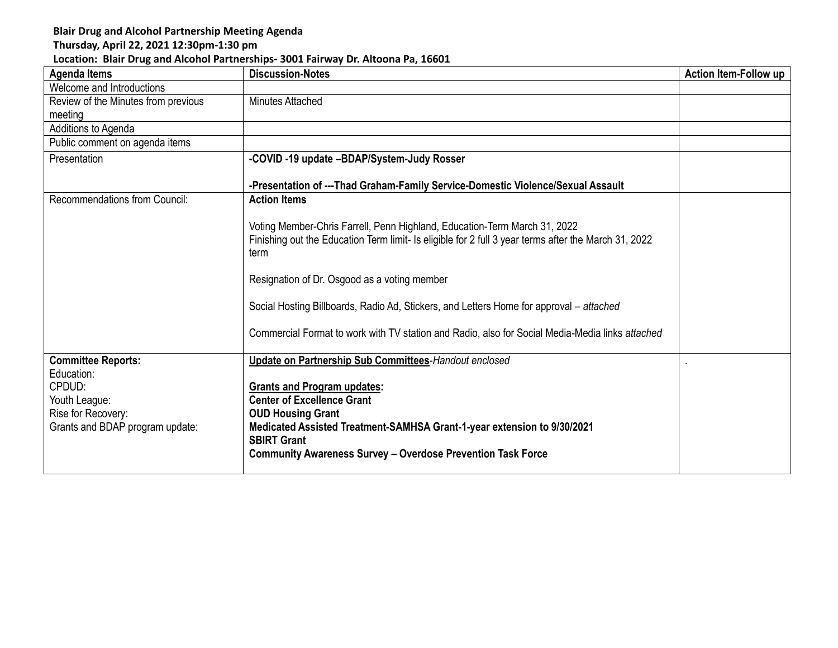## **Blair Drug and Alcohol Partnership Meeting Agenda**

## **Thursday, April 22, 2021 12:30pm-1:30 pm**

## **Location: Blair Drug and Alcohol Partnerships- 3001 Fairway Dr. Altoona Pa, 16601**

| <b>Agenda Items</b>                  | <b>Discussion-Notes</b>                                                                                                                                                                   | Action Item-Follow up |
|--------------------------------------|-------------------------------------------------------------------------------------------------------------------------------------------------------------------------------------------|-----------------------|
| Welcome and Introductions            |                                                                                                                                                                                           |                       |
| Review of the Minutes from previous  | Minutes Attached                                                                                                                                                                          |                       |
| meeting                              |                                                                                                                                                                                           |                       |
| Additions to Agenda                  |                                                                                                                                                                                           |                       |
| Public comment on agenda items       |                                                                                                                                                                                           |                       |
| Presentation                         | -COVID -19 update -BDAP/System-Judy Rosser                                                                                                                                                |                       |
|                                      | -Presentation of ---Thad Graham-Family Service-Domestic Violence/Sexual Assault                                                                                                           |                       |
| <b>Recommendations from Council:</b> | <b>Action Items</b>                                                                                                                                                                       |                       |
|                                      | Voting Member-Chris Farrell, Penn Highland, Education-Term March 31, 2022<br>Finishing out the Education Term limit- Is eligible for 2 full 3 year terms after the March 31, 2022<br>term |                       |
|                                      | Resignation of Dr. Osgood as a voting member                                                                                                                                              |                       |
|                                      | Social Hosting Billboards, Radio Ad, Stickers, and Letters Home for approval – attached                                                                                                   |                       |
|                                      | Commercial Format to work with TV station and Radio, also for Social Media-Media links attached                                                                                           |                       |
| <b>Committee Reports:</b>            | <b>Update on Partnership Sub Committees-Handout enclosed</b>                                                                                                                              |                       |
| Education:<br>CPDUD:                 | <b>Grants and Program updates:</b>                                                                                                                                                        |                       |
| Youth League:                        | <b>Center of Excellence Grant</b>                                                                                                                                                         |                       |
| Rise for Recovery:                   | <b>OUD Housing Grant</b>                                                                                                                                                                  |                       |
| Grants and BDAP program update:      | Medicated Assisted Treatment-SAMHSA Grant-1-year extension to 9/30/2021                                                                                                                   |                       |
|                                      | <b>SBIRT Grant</b>                                                                                                                                                                        |                       |
|                                      | <b>Community Awareness Survey - Overdose Prevention Task Force</b>                                                                                                                        |                       |
|                                      |                                                                                                                                                                                           |                       |